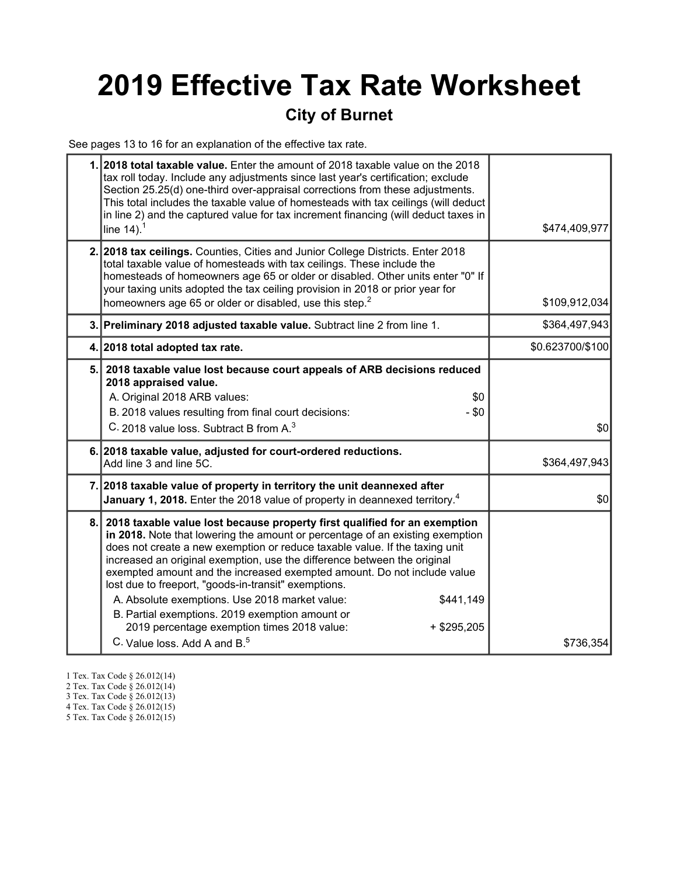# 2019 Effective Tax Rate Worksheet

### City of Burnet

See pages 13 to 16 for an explanation of the effective tax rate.

|     | 1. 2018 total taxable value. Enter the amount of 2018 taxable value on the 2018<br>tax roll today. Include any adjustments since last year's certification; exclude<br>Section 25.25(d) one-third over-appraisal corrections from these adjustments.<br>This total includes the taxable value of homesteads with tax ceilings (will deduct<br>in line 2) and the captured value for tax increment financing (will deduct taxes in<br>line $14$ ). <sup>1</sup>                                                                                                                                                                                                                         | \$474,409,977    |
|-----|----------------------------------------------------------------------------------------------------------------------------------------------------------------------------------------------------------------------------------------------------------------------------------------------------------------------------------------------------------------------------------------------------------------------------------------------------------------------------------------------------------------------------------------------------------------------------------------------------------------------------------------------------------------------------------------|------------------|
|     | 2. 2018 tax ceilings. Counties, Cities and Junior College Districts. Enter 2018<br>total taxable value of homesteads with tax ceilings. These include the<br>homesteads of homeowners age 65 or older or disabled. Other units enter "0" If<br>your taxing units adopted the tax ceiling provision in 2018 or prior year for<br>homeowners age 65 or older or disabled, use this step. <sup>2</sup>                                                                                                                                                                                                                                                                                    | \$109,912,034    |
|     | 3. Preliminary 2018 adjusted taxable value. Subtract line 2 from line 1.                                                                                                                                                                                                                                                                                                                                                                                                                                                                                                                                                                                                               | \$364,497,943    |
|     | 4. 2018 total adopted tax rate.                                                                                                                                                                                                                                                                                                                                                                                                                                                                                                                                                                                                                                                        | \$0.623700/\$100 |
| 5.1 | 2018 taxable value lost because court appeals of ARB decisions reduced<br>2018 appraised value.<br>A. Original 2018 ARB values:<br>\$0<br>B. 2018 values resulting from final court decisions:<br>$-$ \$0<br>C. 2018 value loss. Subtract B from A. <sup>3</sup>                                                                                                                                                                                                                                                                                                                                                                                                                       | \$0              |
|     | 6. 2018 taxable value, adjusted for court-ordered reductions.<br>Add line 3 and line 5C.                                                                                                                                                                                                                                                                                                                                                                                                                                                                                                                                                                                               | \$364,497,943    |
|     | 7. 2018 taxable value of property in territory the unit deannexed after<br><b>January 1, 2018.</b> Enter the 2018 value of property in deannexed territory. <sup>4</sup>                                                                                                                                                                                                                                                                                                                                                                                                                                                                                                               | \$0              |
| 8.  | 2018 taxable value lost because property first qualified for an exemption<br>in 2018. Note that lowering the amount or percentage of an existing exemption<br>does not create a new exemption or reduce taxable value. If the taxing unit<br>increased an original exemption, use the difference between the original<br>exempted amount and the increased exempted amount. Do not include value<br>lost due to freeport, "goods-in-transit" exemptions.<br>A. Absolute exemptions. Use 2018 market value:<br>\$441,149<br>B. Partial exemptions. 2019 exemption amount or<br>2019 percentage exemption times 2018 value:<br>$+$ \$295,205<br>C. Value loss, Add A and B. <sup>5</sup> | \$736,354        |

- 1 Tex. Tax Code § 26.012(14)
- 2 Tex. Tax Code § 26.012(14)
- 3 Tex. Tax Code § 26.012(13)
- 4 Tex. Tax Code § 26.012(15)
- 5 Tex. Tax Code § 26.012(15)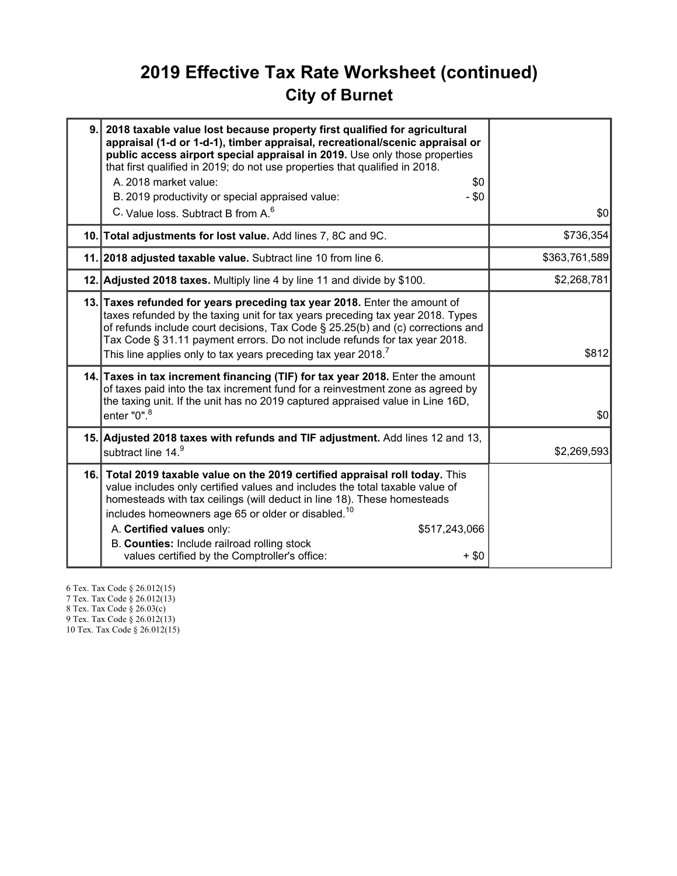## 2019 Effective Tax Rate Worksheet (continued) City of Burnet

| 9.  | 2018 taxable value lost because property first qualified for agricultural<br>appraisal (1-d or 1-d-1), timber appraisal, recreational/scenic appraisal or<br>public access airport special appraisal in 2019. Use only those properties<br>that first qualified in 2019; do not use properties that qualified in 2018.<br>A. 2018 market value:<br>\$0<br>B. 2019 productivity or special appraised value:<br>- \$0<br>C. Value loss. Subtract B from A. <sup>6</sup> | \$0           |
|-----|-----------------------------------------------------------------------------------------------------------------------------------------------------------------------------------------------------------------------------------------------------------------------------------------------------------------------------------------------------------------------------------------------------------------------------------------------------------------------|---------------|
|     | 10. Total adjustments for lost value. Add lines 7, 8C and 9C.                                                                                                                                                                                                                                                                                                                                                                                                         | \$736,354     |
|     | 11. 2018 adjusted taxable value. Subtract line 10 from line 6.                                                                                                                                                                                                                                                                                                                                                                                                        | \$363,761,589 |
|     | 12. Adjusted 2018 taxes. Multiply line 4 by line 11 and divide by \$100.                                                                                                                                                                                                                                                                                                                                                                                              | \$2,268,781   |
|     | 13. Taxes refunded for years preceding tax year 2018. Enter the amount of<br>taxes refunded by the taxing unit for tax years preceding tax year 2018. Types<br>of refunds include court decisions, Tax Code § 25.25(b) and (c) corrections and<br>Tax Code § 31.11 payment errors. Do not include refunds for tax year 2018.<br>This line applies only to tax years preceding tax year 2018. <sup>7</sup>                                                             | \$812         |
|     | 14. Taxes in tax increment financing (TIF) for tax year 2018. Enter the amount<br>of taxes paid into the tax increment fund for a reinvestment zone as agreed by<br>the taxing unit. If the unit has no 2019 captured appraised value in Line 16D,<br>enter $"0"$ . $^8$                                                                                                                                                                                              | \$0           |
|     | 15. Adjusted 2018 taxes with refunds and TIF adjustment. Add lines 12 and 13,<br>subtract line 14.9                                                                                                                                                                                                                                                                                                                                                                   | \$2,269,593   |
| 16. | Total 2019 taxable value on the 2019 certified appraisal roll today. This<br>value includes only certified values and includes the total taxable value of<br>homesteads with tax ceilings (will deduct in line 18). These homesteads<br>includes homeowners age 65 or older or disabled. <sup>10</sup><br>A. Certified values only:<br>\$517,243,066<br>B. Counties: Include railroad rolling stock<br>values certified by the Comptroller's office:<br>$+$ \$0       |               |

6 Tex. Tax Code § 26.012(15) 7 Tex. Tax Code § 26.012(13)

8 Tex. Tax Code § 26.03(c) 9 Tex. Tax Code § 26.012(13)

10 Tex. Tax Code § 26.012(15)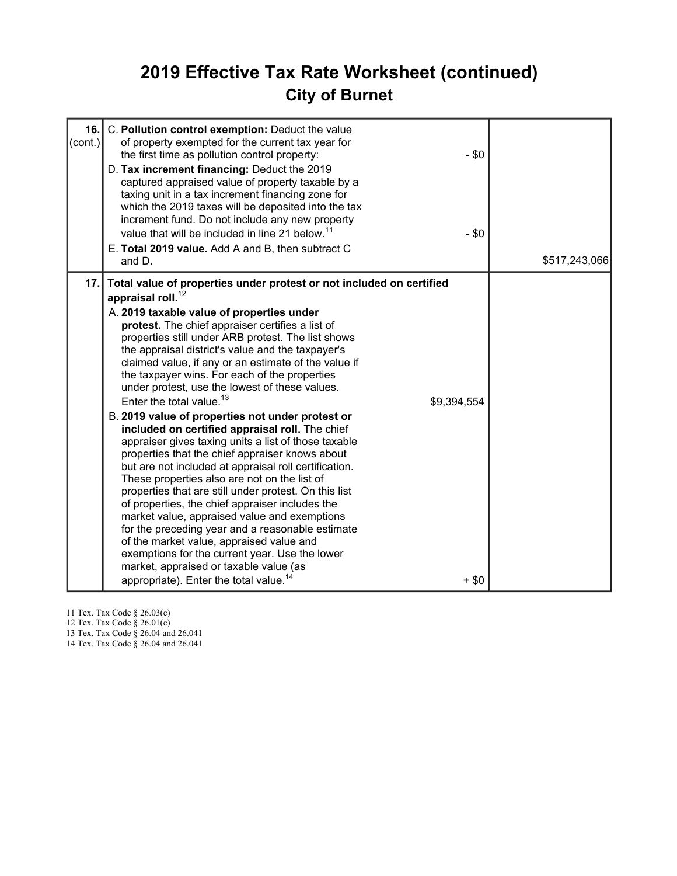## 2019 Effective Tax Rate Worksheet (continued) City of Burnet

| 16.<br>(cont.) | C. Pollution control exemption: Deduct the value<br>of property exempted for the current tax year for<br>the first time as pollution control property:<br>D. Tax increment financing: Deduct the 2019<br>captured appraised value of property taxable by a<br>taxing unit in a tax increment financing zone for<br>which the 2019 taxes will be deposited into the tax<br>increment fund. Do not include any new property<br>value that will be included in line 21 below. <sup>11</sup><br>E. Total 2019 value. Add A and B, then subtract C<br>and D.                                                                                                                                                                                                                                                                                                                                                                                                                                                                                                                                                                                                                                                                                                       | $-$ \$0<br>$-$ \$0     | \$517,243,066 |
|----------------|---------------------------------------------------------------------------------------------------------------------------------------------------------------------------------------------------------------------------------------------------------------------------------------------------------------------------------------------------------------------------------------------------------------------------------------------------------------------------------------------------------------------------------------------------------------------------------------------------------------------------------------------------------------------------------------------------------------------------------------------------------------------------------------------------------------------------------------------------------------------------------------------------------------------------------------------------------------------------------------------------------------------------------------------------------------------------------------------------------------------------------------------------------------------------------------------------------------------------------------------------------------|------------------------|---------------|
| 17.1           | Total value of properties under protest or not included on certified<br>appraisal roll. <sup>12</sup><br>A. 2019 taxable value of properties under<br>protest. The chief appraiser certifies a list of<br>properties still under ARB protest. The list shows<br>the appraisal district's value and the taxpayer's<br>claimed value, if any or an estimate of the value if<br>the taxpayer wins. For each of the properties<br>under protest, use the lowest of these values.<br>Enter the total value. <sup>13</sup><br>B. 2019 value of properties not under protest or<br>included on certified appraisal roll. The chief<br>appraiser gives taxing units a list of those taxable<br>properties that the chief appraiser knows about<br>but are not included at appraisal roll certification.<br>These properties also are not on the list of<br>properties that are still under protest. On this list<br>of properties, the chief appraiser includes the<br>market value, appraised value and exemptions<br>for the preceding year and a reasonable estimate<br>of the market value, appraised value and<br>exemptions for the current year. Use the lower<br>market, appraised or taxable value (as<br>appropriate). Enter the total value. <sup>14</sup> | \$9,394,554<br>$+$ \$0 |               |

11 Tex. Tax Code § 26.03(c)

12 Tex. Tax Code § 26.01(c)

13 Tex. Tax Code § 26.04 and 26.041

14 Tex. Tax Code § 26.04 and 26.041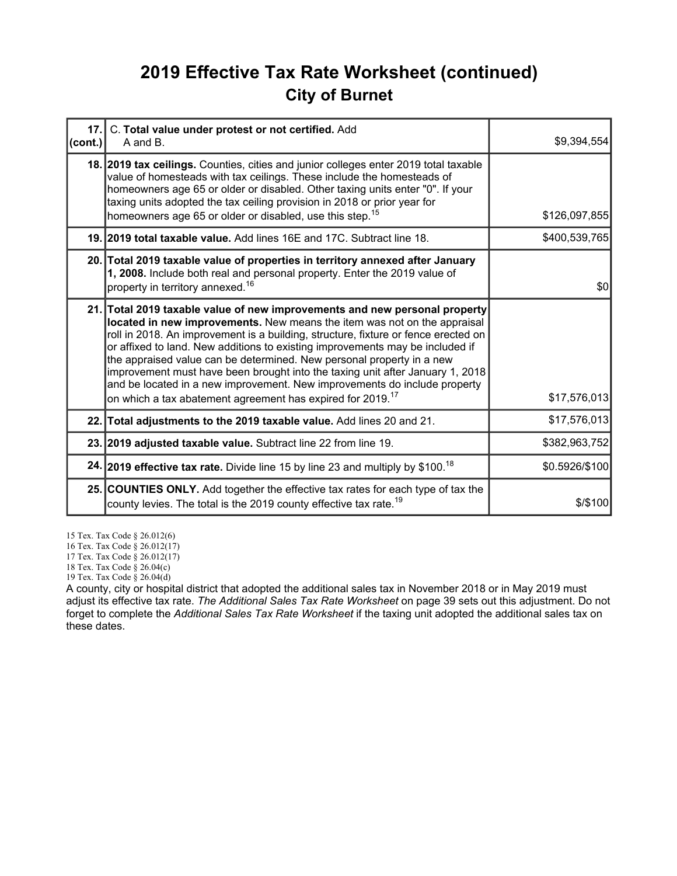## 2019 Effective Tax Rate Worksheet (continued) City of Burnet

| cont. | 17. C. Total value under protest or not certified. Add<br>A and B.                                                                                                                                                                                                                                                                                                                                                                                                                                                                                                                                                                             | \$9,394,554    |
|-------|------------------------------------------------------------------------------------------------------------------------------------------------------------------------------------------------------------------------------------------------------------------------------------------------------------------------------------------------------------------------------------------------------------------------------------------------------------------------------------------------------------------------------------------------------------------------------------------------------------------------------------------------|----------------|
|       | 18. 2019 tax ceilings. Counties, cities and junior colleges enter 2019 total taxable<br>value of homesteads with tax ceilings. These include the homesteads of<br>homeowners age 65 or older or disabled. Other taxing units enter "0". If your<br>taxing units adopted the tax ceiling provision in 2018 or prior year for<br>homeowners age 65 or older or disabled, use this step. <sup>15</sup>                                                                                                                                                                                                                                            | \$126,097,855  |
|       | 19. 2019 total taxable value. Add lines 16E and 17C. Subtract line 18.                                                                                                                                                                                                                                                                                                                                                                                                                                                                                                                                                                         | \$400,539,765  |
|       | 20. Total 2019 taxable value of properties in territory annexed after January<br>1, 2008. Include both real and personal property. Enter the 2019 value of<br>property in territory annexed. <sup>16</sup>                                                                                                                                                                                                                                                                                                                                                                                                                                     | \$0            |
|       | 21. Total 2019 taxable value of new improvements and new personal property<br>located in new improvements. New means the item was not on the appraisal<br>roll in 2018. An improvement is a building, structure, fixture or fence erected on<br>or affixed to land. New additions to existing improvements may be included if<br>the appraised value can be determined. New personal property in a new<br>improvement must have been brought into the taxing unit after January 1, 2018<br>and be located in a new improvement. New improvements do include property<br>on which a tax abatement agreement has expired for 2019. <sup>17</sup> | \$17,576,013   |
|       | 22. Total adjustments to the 2019 taxable value. Add lines 20 and 21.                                                                                                                                                                                                                                                                                                                                                                                                                                                                                                                                                                          | \$17,576,013   |
|       | 23. 2019 adjusted taxable value. Subtract line 22 from line 19.                                                                                                                                                                                                                                                                                                                                                                                                                                                                                                                                                                                | \$382,963,752  |
|       | 24. 2019 effective tax rate. Divide line 15 by line 23 and multiply by \$100. <sup>18</sup>                                                                                                                                                                                                                                                                                                                                                                                                                                                                                                                                                    | \$0.5926/\$100 |
|       | 25. COUNTIES ONLY. Add together the effective tax rates for each type of tax the<br>county levies. The total is the 2019 county effective tax rate. <sup>19</sup>                                                                                                                                                                                                                                                                                                                                                                                                                                                                              | $$$ /\$100     |

15 Tex. Tax Code § 26.012(6)

16 Tex. Tax Code § 26.012(17)

17 Tex. Tax Code § 26.012(17)

18 Tex. Tax Code § 26.04(c)

19 Tex. Tax Code § 26.04(d)

A county, city or hospital district that adopted the additional sales tax in November 2018 or in May 2019 must adjust its effective tax rate. The Additional Sales Tax Rate Worksheet on page 39 sets out this adjustment. Do not forget to complete the Additional Sales Tax Rate Worksheet if the taxing unit adopted the additional sales tax on these dates.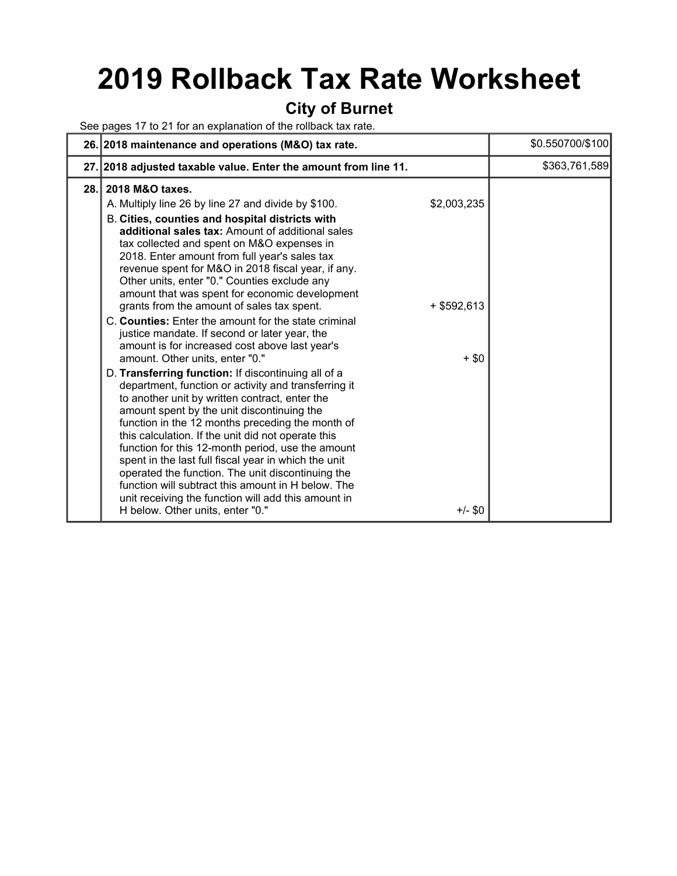## 2019 Rollback Tax Rate Worksheet

#### City of Burnet

See pages 17 to 21 for an explanation of the rollback tax rate.

|      | 26. 2018 maintenance and operations (M&O) tax rate.                                                                                                                                                                                                                                                                                                                                                                                                                                                                                                                                                                                                                         |                      | \$0.550700/\$100 |
|------|-----------------------------------------------------------------------------------------------------------------------------------------------------------------------------------------------------------------------------------------------------------------------------------------------------------------------------------------------------------------------------------------------------------------------------------------------------------------------------------------------------------------------------------------------------------------------------------------------------------------------------------------------------------------------------|----------------------|------------------|
|      | 27. 2018 adjusted taxable value. Enter the amount from line 11.                                                                                                                                                                                                                                                                                                                                                                                                                                                                                                                                                                                                             |                      | \$363,761,589    |
| 28.1 | 2018 M&O taxes.<br>A. Multiply line 26 by line 27 and divide by \$100.<br>B. Cities, counties and hospital districts with<br>additional sales tax: Amount of additional sales<br>tax collected and spent on M&O expenses in                                                                                                                                                                                                                                                                                                                                                                                                                                                 | \$2,003,235          |                  |
|      | 2018. Enter amount from full year's sales tax<br>revenue spent for M&O in 2018 fiscal year, if any.<br>Other units, enter "0." Counties exclude any<br>amount that was spent for economic development<br>grants from the amount of sales tax spent.<br>C. Counties: Enter the amount for the state criminal<br>justice mandate. If second or later year, the<br>amount is for increased cost above last year's                                                                                                                                                                                                                                                              | $+$ \$592,613        |                  |
|      | amount. Other units, enter "0."<br>D. Transferring function: If discontinuing all of a<br>department, function or activity and transferring it<br>to another unit by written contract, enter the<br>amount spent by the unit discontinuing the<br>function in the 12 months preceding the month of<br>this calculation. If the unit did not operate this<br>function for this 12-month period, use the amount<br>spent in the last full fiscal year in which the unit<br>operated the function. The unit discontinuing the<br>function will subtract this amount in H below. The<br>unit receiving the function will add this amount in<br>H below. Other units, enter "0." | $+$ \$0<br>$+/-$ \$0 |                  |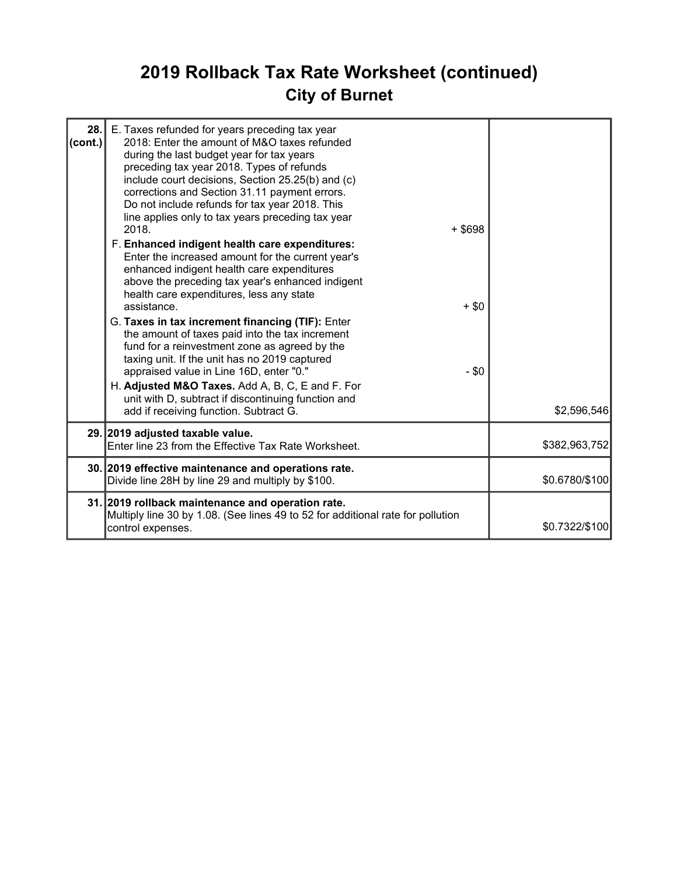## 2019 Rollback Tax Rate Worksheet (continued) City of Burnet

| 28.1<br>$\text{(cont.)}$ | E. Taxes refunded for years preceding tax year<br>2018: Enter the amount of M&O taxes refunded<br>during the last budget year for tax years<br>preceding tax year 2018. Types of refunds<br>include court decisions, Section 25.25(b) and (c)<br>corrections and Section 31.11 payment errors.<br>Do not include refunds for tax year 2018. This<br>line applies only to tax years preceding tax year<br>2018.<br>$+$ \$698<br>F. Enhanced indigent health care expenditures:<br>Enter the increased amount for the current year's<br>enhanced indigent health care expenditures<br>above the preceding tax year's enhanced indigent<br>health care expenditures, less any state<br>assistance.<br>$+$ \$0<br>G. Taxes in tax increment financing (TIF): Enter<br>the amount of taxes paid into the tax increment<br>fund for a reinvestment zone as agreed by the<br>taxing unit. If the unit has no 2019 captured<br>appraised value in Line 16D, enter "0."<br>$-$ \$0<br>H. Adjusted M&O Taxes. Add A, B, C, E and F. For<br>unit with D, subtract if discontinuing function and |                |
|--------------------------|--------------------------------------------------------------------------------------------------------------------------------------------------------------------------------------------------------------------------------------------------------------------------------------------------------------------------------------------------------------------------------------------------------------------------------------------------------------------------------------------------------------------------------------------------------------------------------------------------------------------------------------------------------------------------------------------------------------------------------------------------------------------------------------------------------------------------------------------------------------------------------------------------------------------------------------------------------------------------------------------------------------------------------------------------------------------------------------|----------------|
|                          | add if receiving function. Subtract G.                                                                                                                                                                                                                                                                                                                                                                                                                                                                                                                                                                                                                                                                                                                                                                                                                                                                                                                                                                                                                                               | \$2,596,546    |
|                          | 29. 2019 adjusted taxable value.<br>Enter line 23 from the Effective Tax Rate Worksheet.                                                                                                                                                                                                                                                                                                                                                                                                                                                                                                                                                                                                                                                                                                                                                                                                                                                                                                                                                                                             | \$382,963,752  |
|                          | 30. 2019 effective maintenance and operations rate.<br>Divide line 28H by line 29 and multiply by \$100.                                                                                                                                                                                                                                                                                                                                                                                                                                                                                                                                                                                                                                                                                                                                                                                                                                                                                                                                                                             | \$0.6780/\$100 |
|                          | 31. 2019 rollback maintenance and operation rate.<br>Multiply line 30 by 1.08. (See lines 49 to 52 for additional rate for pollution<br>control expenses.                                                                                                                                                                                                                                                                                                                                                                                                                                                                                                                                                                                                                                                                                                                                                                                                                                                                                                                            | \$0.7322/\$100 |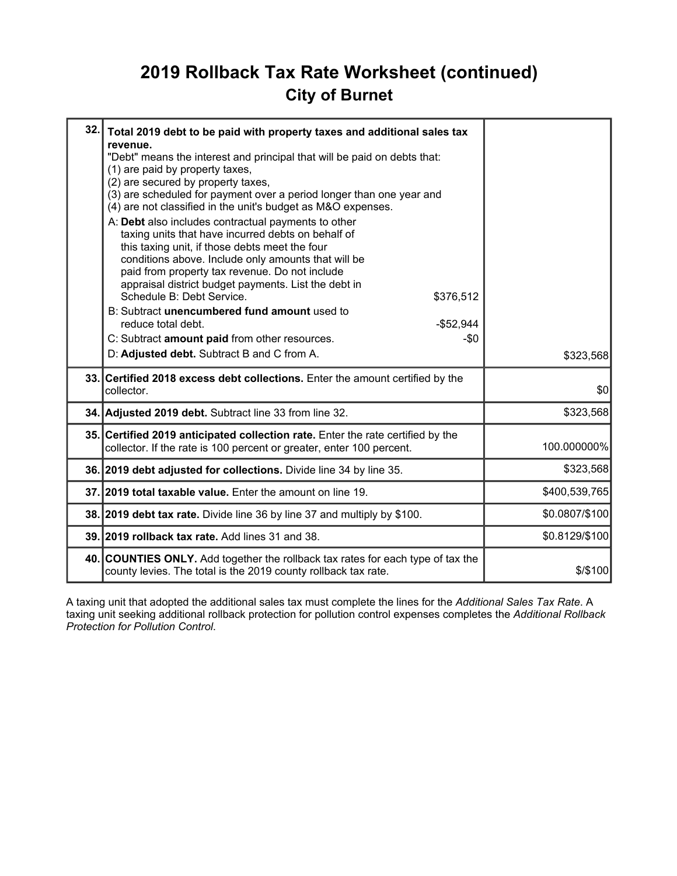## 2019 Rollback Tax Rate Worksheet (continued) City of Burnet

| 32.1 | Total 2019 debt to be paid with property taxes and additional sales tax<br>revenue.<br>"Debt" means the interest and principal that will be paid on debts that:<br>(1) are paid by property taxes,<br>(2) are secured by property taxes,<br>(3) are scheduled for payment over a period longer than one year and<br>(4) are not classified in the unit's budget as M&O expenses.<br>A: Debt also includes contractual payments to other<br>taxing units that have incurred debts on behalf of<br>this taxing unit, if those debts meet the four<br>conditions above. Include only amounts that will be<br>paid from property tax revenue. Do not include<br>appraisal district budget payments. List the debt in<br>Schedule B: Debt Service.<br>\$376,512<br>B: Subtract unencumbered fund amount used to<br>reduce total debt.<br>$-$52,944$<br>C: Subtract amount paid from other resources.<br>-\$0<br>D: Adjusted debt. Subtract B and C from A. | \$323,568      |
|------|-------------------------------------------------------------------------------------------------------------------------------------------------------------------------------------------------------------------------------------------------------------------------------------------------------------------------------------------------------------------------------------------------------------------------------------------------------------------------------------------------------------------------------------------------------------------------------------------------------------------------------------------------------------------------------------------------------------------------------------------------------------------------------------------------------------------------------------------------------------------------------------------------------------------------------------------------------|----------------|
|      | 33. Certified 2018 excess debt collections. Enter the amount certified by the<br>collector.                                                                                                                                                                                                                                                                                                                                                                                                                                                                                                                                                                                                                                                                                                                                                                                                                                                           | \$0            |
|      | 34. Adjusted 2019 debt. Subtract line 33 from line 32.                                                                                                                                                                                                                                                                                                                                                                                                                                                                                                                                                                                                                                                                                                                                                                                                                                                                                                | \$323,568      |
|      | 35. Certified 2019 anticipated collection rate. Enter the rate certified by the<br>collector. If the rate is 100 percent or greater, enter 100 percent.                                                                                                                                                                                                                                                                                                                                                                                                                                                                                                                                                                                                                                                                                                                                                                                               | 100.000000%    |
|      | 36. 2019 debt adjusted for collections. Divide line 34 by line 35.                                                                                                                                                                                                                                                                                                                                                                                                                                                                                                                                                                                                                                                                                                                                                                                                                                                                                    | \$323,568      |
|      | 37.12019 total taxable value. Enter the amount on line 19.                                                                                                                                                                                                                                                                                                                                                                                                                                                                                                                                                                                                                                                                                                                                                                                                                                                                                            | \$400,539,765  |
|      | 38. 2019 debt tax rate. Divide line 36 by line 37 and multiply by \$100.                                                                                                                                                                                                                                                                                                                                                                                                                                                                                                                                                                                                                                                                                                                                                                                                                                                                              | \$0.0807/\$100 |
|      | 39. 2019 rollback tax rate. Add lines 31 and 38.                                                                                                                                                                                                                                                                                                                                                                                                                                                                                                                                                                                                                                                                                                                                                                                                                                                                                                      | \$0.8129/\$100 |
|      | 40. COUNTIES ONLY. Add together the rollback tax rates for each type of tax the<br>county levies. The total is the 2019 county rollback tax rate.                                                                                                                                                                                                                                                                                                                                                                                                                                                                                                                                                                                                                                                                                                                                                                                                     | $$$ /\$100     |

A taxing unit that adopted the additional sales tax must complete the lines for the Additional Sales Tax Rate. A taxing unit seeking additional rollback protection for pollution control expenses completes the Additional Rollback Protection for Pollution Control.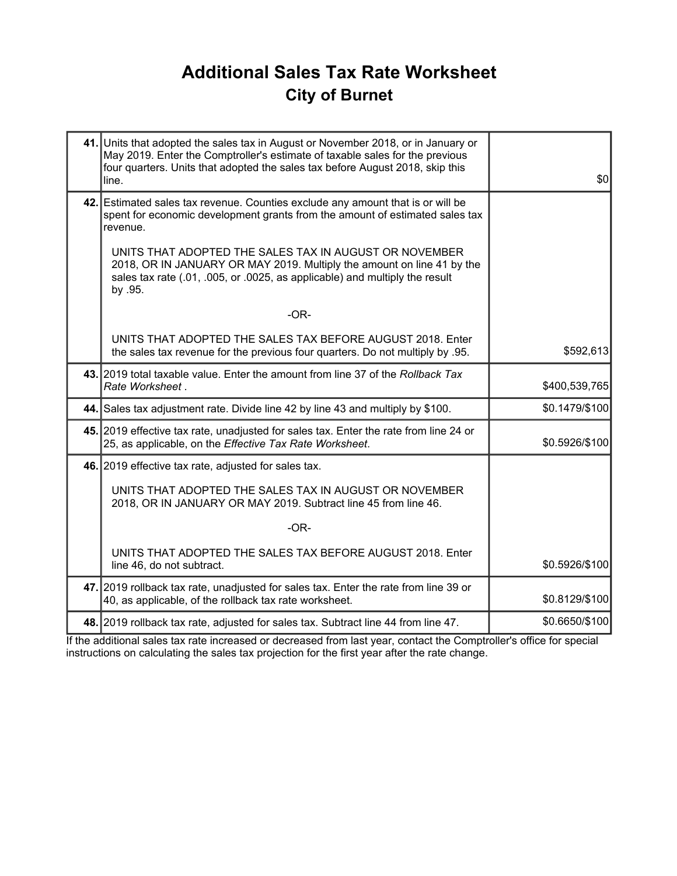## Additional Sales Tax Rate Worksheet City of Burnet

| 41. Units that adopted the sales tax in August or November 2018, or in January or<br>May 2019. Enter the Comptroller's estimate of taxable sales for the previous<br>four quarters. Units that adopted the sales tax before August 2018, skip this<br>line. | \$0            |
|-------------------------------------------------------------------------------------------------------------------------------------------------------------------------------------------------------------------------------------------------------------|----------------|
| 42. Estimated sales tax revenue. Counties exclude any amount that is or will be<br>spent for economic development grants from the amount of estimated sales tax<br>revenue.                                                                                 |                |
| UNITS THAT ADOPTED THE SALES TAX IN AUGUST OR NOVEMBER<br>2018, OR IN JANUARY OR MAY 2019. Multiply the amount on line 41 by the<br>sales tax rate (.01, .005, or .0025, as applicable) and multiply the result<br>by .95.                                  |                |
| $-OR-$                                                                                                                                                                                                                                                      |                |
| UNITS THAT ADOPTED THE SALES TAX BEFORE AUGUST 2018. Enter<br>the sales tax revenue for the previous four quarters. Do not multiply by .95.                                                                                                                 | \$592,613      |
| 43. 2019 total taxable value. Enter the amount from line 37 of the Rollback Tax<br>Rate Worksheet.                                                                                                                                                          | \$400,539,765  |
| 44. Sales tax adjustment rate. Divide line 42 by line 43 and multiply by \$100.                                                                                                                                                                             | \$0.1479/\$100 |
| 45. 2019 effective tax rate, unadjusted for sales tax. Enter the rate from line 24 or<br>25, as applicable, on the Effective Tax Rate Worksheet.                                                                                                            | \$0.5926/\$100 |
| 46. 2019 effective tax rate, adjusted for sales tax.                                                                                                                                                                                                        |                |
| UNITS THAT ADOPTED THE SALES TAX IN AUGUST OR NOVEMBER<br>2018, OR IN JANUARY OR MAY 2019. Subtract line 45 from line 46.                                                                                                                                   |                |
| $-OR-$                                                                                                                                                                                                                                                      |                |
| UNITS THAT ADOPTED THE SALES TAX BEFORE AUGUST 2018. Enter<br>line 46, do not subtract.                                                                                                                                                                     | \$0.5926/\$100 |
| 47. 2019 rollback tax rate, unadjusted for sales tax. Enter the rate from line 39 or<br>40, as applicable, of the rollback tax rate worksheet.                                                                                                              | \$0.8129/\$100 |
| 48. 2019 rollback tax rate, adjusted for sales tax. Subtract line 44 from line 47.                                                                                                                                                                          | \$0.6650/\$100 |

If the additional sales tax rate increased or decreased from last year, contact the Comptroller's office for special instructions on calculating the sales tax projection for the first year after the rate change.